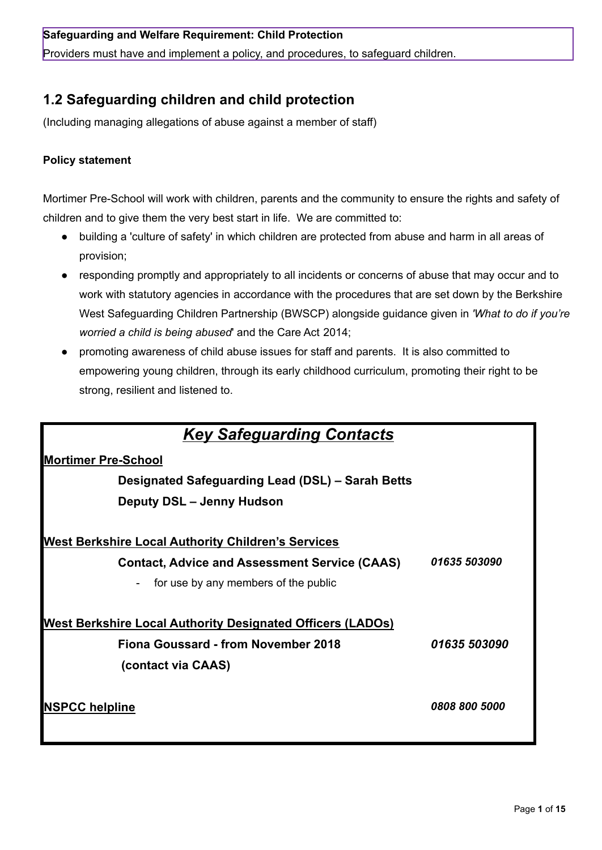## **Safeguarding and Welfare Requirement: Child Protection**

Providers must have and implement a policy, and procedures, to safeguard children.

# **1.2 Safeguarding children and child protection**

(Including managing allegations of abuse against a member of staff)

# **Policy statement**

Mortimer Pre-School will work with children, parents and the community to ensure the rights and safety of children and to give them the very best start in life. We are committed to:

- building a 'culture of safety' in which children are protected from abuse and harm in all areas of provision;
- responding promptly and appropriately to all incidents or concerns of abuse that may occur and to work with statutory agencies in accordance with the procedures that are set down by the Berkshire West Safeguarding Children Partnership (BWSCP) alongside guidance given in *'What to do if you're worried a child is being abused*' and the Care Act 2014;
- promoting awareness of child abuse issues for staff and parents. It is also committed to empowering young children, through its early childhood curriculum, promoting their right to be strong, resilient and listened to.

| <b>Key Safeguarding Contacts</b>                                  |               |  |
|-------------------------------------------------------------------|---------------|--|
| <b>Mortimer Pre-School</b>                                        |               |  |
| Designated Safeguarding Lead (DSL) - Sarah Betts                  |               |  |
| Deputy DSL - Jenny Hudson                                         |               |  |
|                                                                   |               |  |
| <b>West Berkshire Local Authority Children's Services</b>         |               |  |
| <b>Contact, Advice and Assessment Service (CAAS)</b>              | 01635 503090  |  |
| for use by any members of the public                              |               |  |
|                                                                   |               |  |
| <b>West Berkshire Local Authority Designated Officers (LADOs)</b> |               |  |
| Fiona Goussard - from November 2018                               | 01635 503090  |  |
| (contact via CAAS)                                                |               |  |
|                                                                   |               |  |
| <b>NSPCC helpline</b>                                             | 0808 800 5000 |  |
|                                                                   |               |  |
|                                                                   |               |  |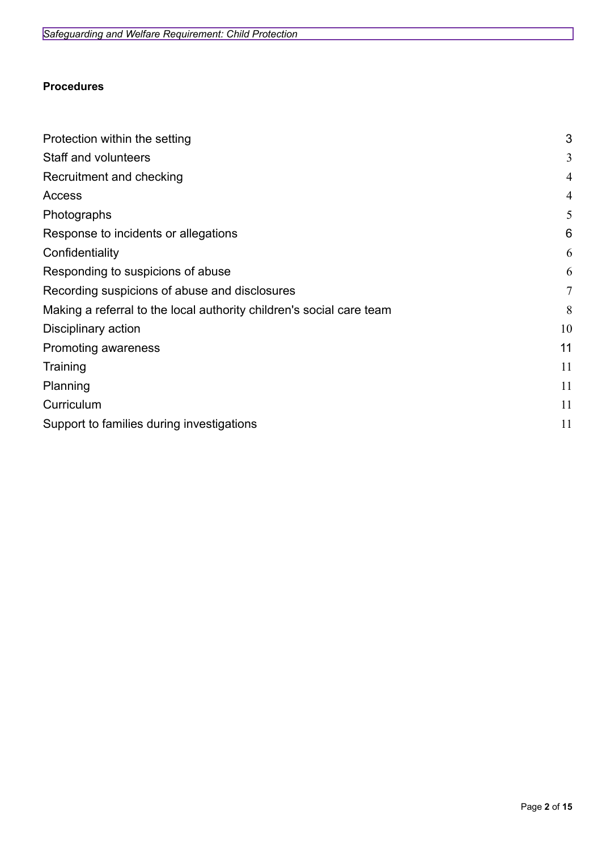# **Procedures**

| Protection within the setting                                        | 3              |
|----------------------------------------------------------------------|----------------|
| Staff and volunteers                                                 | 3              |
| Recruitment and checking                                             | 4              |
| Access                                                               | 4              |
| Photographs                                                          | 5              |
| Response to incidents or allegations                                 | 6              |
| Confidentiality                                                      | 6              |
| Responding to suspicions of abuse                                    | 6              |
| Recording suspicions of abuse and disclosures                        | $\overline{7}$ |
| Making a referral to the local authority children's social care team | 8              |
| Disciplinary action                                                  | 10             |
| Promoting awareness                                                  | 11             |
| Training                                                             | 11             |
| Planning                                                             | 11             |
| Curriculum                                                           | 11             |
| Support to families during investigations                            |                |
|                                                                      |                |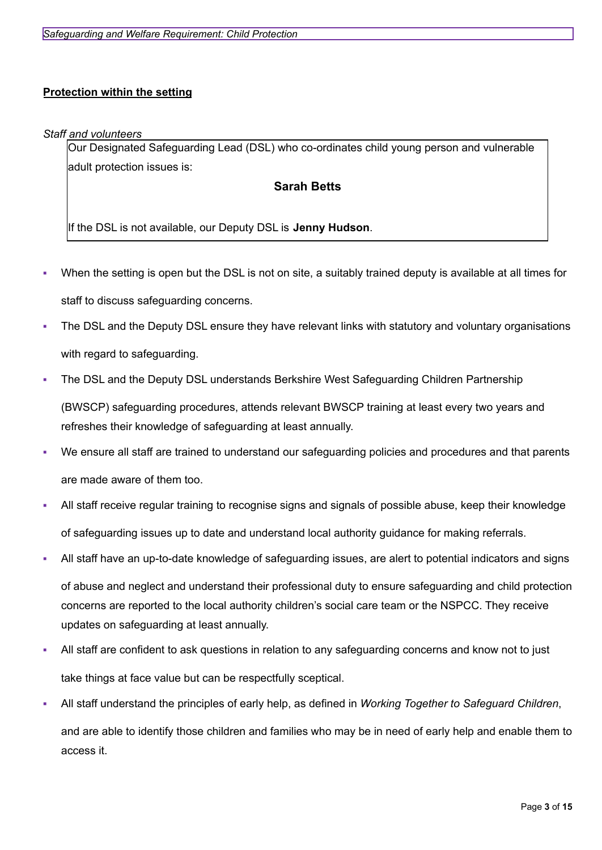# <span id="page-2-0"></span>**Protection within the setting**

#### <span id="page-2-1"></span>*Staff and volunteers*

Our Designated Safeguarding Lead (DSL) who co-ordinates child young person and vulnerable adult protection issues is:

# **Sarah Betts**

If the DSL is not available, our Deputy DSL is **Jenny Hudson**.

- When the setting is open but the DSL is not on site, a suitably trained deputy is available at all times for staff to discuss safeguarding concerns.
- The DSL and the Deputy DSL ensure they have relevant links with statutory and voluntary organisations with regard to safeguarding.
- The DSL and the Deputy DSL understands Berkshire West Safeguarding Children Partnership (BWSCP) safeguarding procedures, attends relevant BWSCP training at least every two years and refreshes their knowledge of safeguarding at least annually.
- We ensure all staff are trained to understand our safeguarding policies and procedures and that parents are made aware of them too.
- All staff receive regular training to recognise signs and signals of possible abuse, keep their knowledge of safeguarding issues up to date and understand local authority guidance for making referrals.
- All staff have an up-to-date knowledge of safeguarding issues, are alert to potential indicators and signs

of abuse and neglect and understand their professional duty to ensure safeguarding and child protection concerns are reported to the local authority children's social care team or the NSPCC. They receive updates on safeguarding at least annually.

- All staff are confident to ask questions in relation to any safeguarding concerns and know not to just take things at face value but can be respectfully sceptical.
- All staff understand the principles of early help, as defined in *Working Together to Safeguard Children*, and are able to identify those children and families who may be in need of early help and enable them to access it.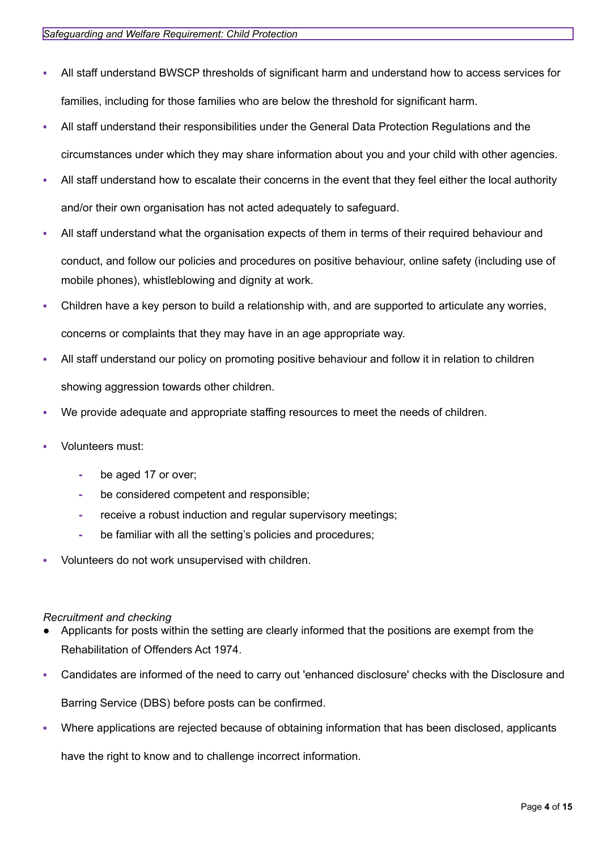- All staff understand BWSCP thresholds of significant harm and understand how to access services for families, including for those families who are below the threshold for significant harm.
- All staff understand their responsibilities under the General Data Protection Regulations and the circumstances under which they may share information about you and your child with other agencies.
- All staff understand how to escalate their concerns in the event that they feel either the local authority and/or their own organisation has not acted adequately to safeguard.
- All staff understand what the organisation expects of them in terms of their required behaviour and conduct, and follow our policies and procedures on positive behaviour, online safety (including use of mobile phones), whistleblowing and dignity at work.
- Children have a key person to build a relationship with, and are supported to articulate any worries, concerns or complaints that they may have in an age appropriate way.
- All staff understand our policy on promoting positive behaviour and follow it in relation to children showing aggression towards other children.
- We provide adequate and appropriate staffing resources to meet the needs of children.
- Volunteers must:
	- **-** be aged 17 or over;
	- **-** be considered competent and responsible;
	- **-** receive a robust induction and regular supervisory meetings;
	- **-** be familiar with all the setting's policies and procedures;
- Volunteers do not work unsupervised with children.

### <span id="page-3-0"></span>*Recruitment and checking*

- Applicants for posts within the setting are clearly informed that the positions are exempt from the Rehabilitation of Offenders Act 1974.
- Candidates are informed of the need to carry out 'enhanced disclosure' checks with the Disclosure and

Barring Service (DBS) before posts can be confirmed.

Where applications are rejected because of obtaining information that has been disclosed, applicants have the right to know and to challenge incorrect information.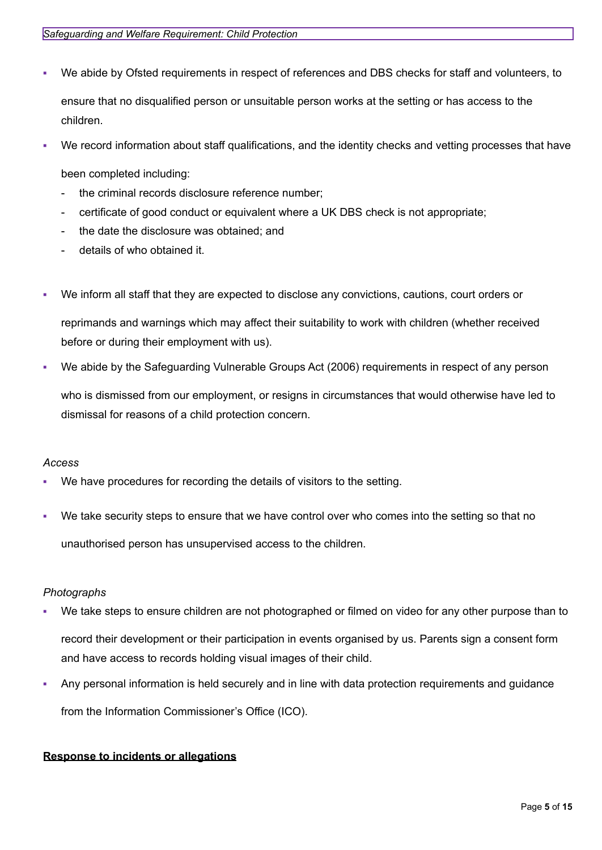- We abide by Ofsted requirements in respect of references and DBS checks for staff and volunteers, to ensure that no disqualified person or unsuitable person works at the setting or has access to the children.
- We record information about staff qualifications, and the identity checks and vetting processes that have

been completed including:

- the criminal records disclosure reference number;
- certificate of good conduct or equivalent where a UK DBS check is not appropriate;
- the date the disclosure was obtained; and
- details of who obtained it.
- We inform all staff that they are expected to disclose any convictions, cautions, court orders or

reprimands and warnings which may affect their suitability to work with children (whether received before or during their employment with us).

We abide by the Safeguarding Vulnerable Groups Act (2006) requirements in respect of any person

who is dismissed from our employment, or resigns in circumstances that would otherwise have led to dismissal for reasons of a child protection concern.

### <span id="page-4-0"></span>*Access*

- We have procedures for recording the details of visitors to the setting.
- We take security steps to ensure that we have control over who comes into the setting so that no unauthorised person has unsupervised access to the children.

### <span id="page-4-1"></span>*Photographs*

- We take steps to ensure children are not photographed or filmed on video for any other purpose than to record their development or their participation in events organised by us. Parents sign a consent form and have access to records holding visual images of their child.
- Any personal information is held securely and in line with data protection requirements and guidance from the Information Commissioner's Office (ICO).

### <span id="page-4-2"></span>**Response to incidents or allegations**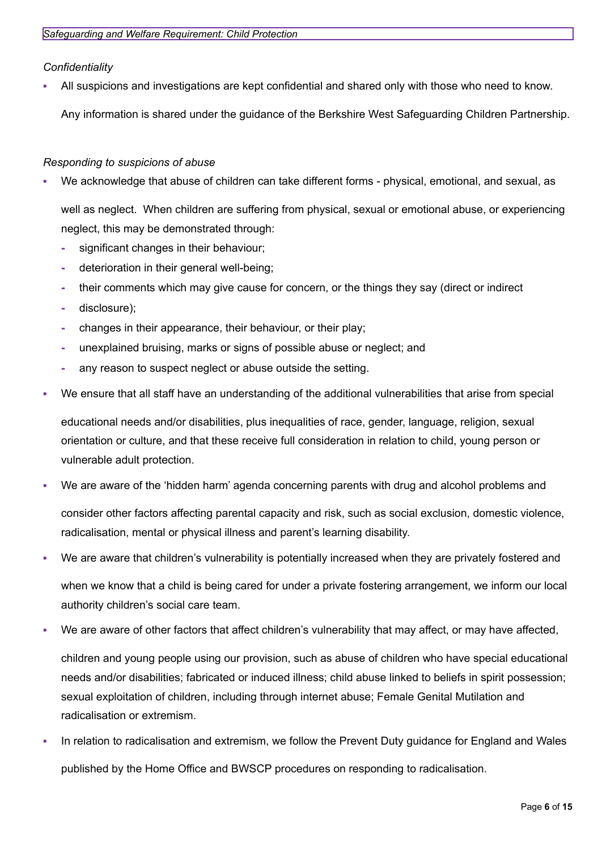<span id="page-5-0"></span>*Confidentiality*

All suspicions and investigations are kept confidential and shared only with those who need to know.

Any information is shared under the guidance of the Berkshire West Safeguarding Children Partnership.

### <span id="page-5-1"></span>*Responding to suspicions of abuse*

We acknowledge that abuse of children can take different forms - physical, emotional, and sexual, as

well as neglect. When children are suffering from physical, sexual or emotional abuse, or experiencing neglect, this may be demonstrated through:

- **-** significant changes in their behaviour;
- **-** deterioration in their general well-being;
- **-** their comments which may give cause for concern, or the things they say (direct or indirect
- **-** disclosure);
- **-** changes in their appearance, their behaviour, or their play;
- **-** unexplained bruising, marks or signs of possible abuse or neglect; and
- **-** any reason to suspect neglect or abuse outside the setting.
- We ensure that all staff have an understanding of the additional vulnerabilities that arise from special

educational needs and/or disabilities, plus inequalities of race, gender, language, religion, sexual orientation or culture, and that these receive full consideration in relation to child, young person or vulnerable adult protection.

We are aware of the 'hidden harm' agenda concerning parents with drug and alcohol problems and

consider other factors affecting parental capacity and risk, such as social exclusion, domestic violence, radicalisation, mental or physical illness and parent's learning disability.

We are aware that children's vulnerability is potentially increased when they are privately fostered and

when we know that a child is being cared for under a private fostering arrangement, we inform our local authority children's social care team.

We are aware of other factors that affect children's vulnerability that may affect, or may have affected,

children and young people using our provision, such as abuse of children who have special educational needs and/or disabilities; fabricated or induced illness; child abuse linked to beliefs in spirit possession; sexual exploitation of children, including through internet abuse; Female Genital Mutilation and radicalisation or extremism.

In relation to radicalisation and extremism, we follow the Prevent Duty guidance for England and Wales published by the Home Office and BWSCP procedures on responding to radicalisation.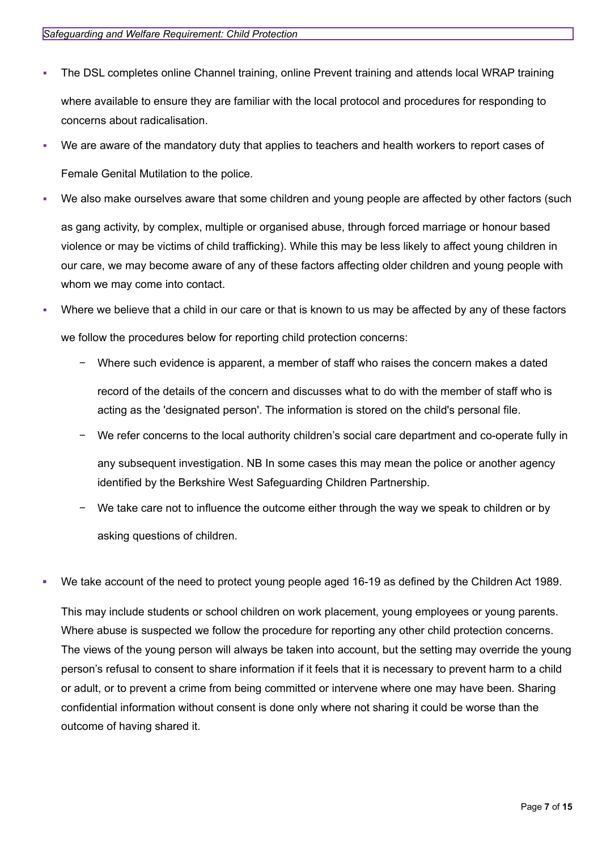- The DSL completes online Channel training, online Prevent training and attends local WRAP training where available to ensure they are familiar with the local protocol and procedures for responding to concerns about radicalisation.
- We are aware of the mandatory duty that applies to teachers and health workers to report cases of Female Genital Mutilation to the police.
- We also make ourselves aware that some children and young people are affected by other factors (such

as gang activity, by complex, multiple or organised abuse, through forced marriage or honour based violence or may be victims of child trafficking). While this may be less likely to affect young children in our care, we may become aware of any of these factors affecting older children and young people with whom we may come into contact.

- Where we believe that a child in our care or that is known to us may be affected by any of these factors we follow the procedures below for reporting child protection concerns:
	- − Where such evidence is apparent, a member of staff who raises the concern makes a dated record of the details of the concern and discusses what to do with the member of staff who is

acting as the 'designated person'. The information is stored on the child's personal file.

We refer concerns to the local authority children's social care department and co-operate fully in

any subsequent investigation. NB In some cases this may mean the police or another agency identified by the Berkshire West Safeguarding Children Partnership.

- We take care not to influence the outcome either through the way we speak to children or by asking questions of children.
- We take account of the need to protect young people aged 16-19 as defined by the Children Act 1989.

This may include students or school children on work placement, young employees or young parents. Where abuse is suspected we follow the procedure for reporting any other child protection concerns. The views of the young person will always be taken into account, but the setting may override the young person's refusal to consent to share information if it feels that it is necessary to prevent harm to a child or adult, or to prevent a crime from being committed or intervene where one may have been. Sharing confidential information without consent is done only where not sharing it could be worse than the outcome of having shared it.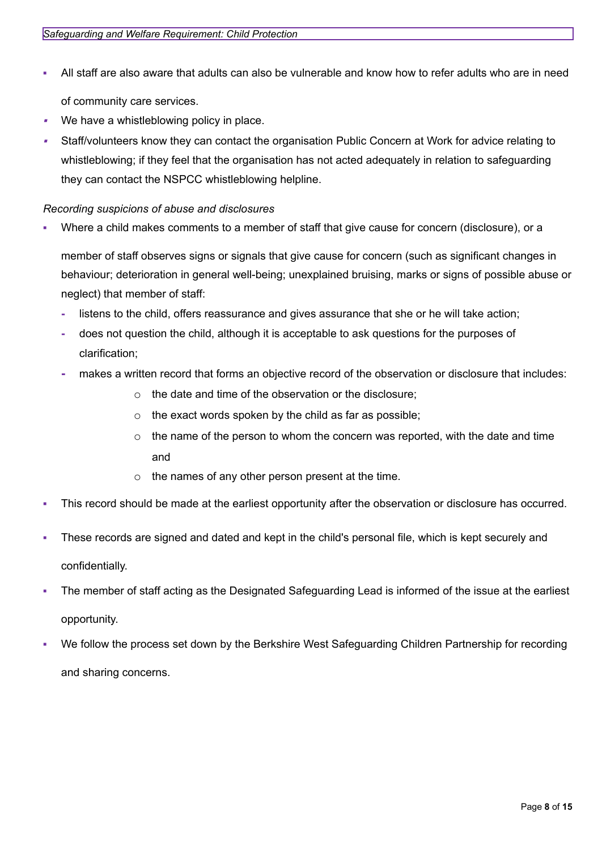- All staff are also aware that adults can also be vulnerable and know how to refer adults who are in need of community care services.
- ▪We have a whistleblowing policy in place.
- ▪ Staff/volunteers know they can contact the organisation Public Concern at Work for advice relating to whistleblowing; if they feel that the organisation has not acted adequately in relation to safeguarding they can contact the NSPCC whistleblowing helpline.

### <span id="page-7-0"></span>*Recording suspicions of abuse and disclosures*

Where a child makes comments to a member of staff that give cause for concern (disclosure), or a

member of staff observes signs or signals that give cause for concern (such as significant changes in behaviour; deterioration in general well-being; unexplained bruising, marks or signs of possible abuse or neglect) that member of staff:

- **-** listens to the child, offers reassurance and gives assurance that she or he will take action;
- **-** does not question the child, although it is acceptable to ask questions for the purposes of clarification;
- **-** makes a written record that forms an objective record of the observation or disclosure that includes:
	- o the date and time of the observation or the disclosure;
	- o the exact words spoken by the child as far as possible;
	- $\circ$  the name of the person to whom the concern was reported, with the date and time and
	- $\circ$  the names of any other person present at the time.
- This record should be made at the earliest opportunity after the observation or disclosure has occurred.
- These records are signed and dated and kept in the child's personal file, which is kept securely and confidentially.
- The member of staff acting as the Designated Safeguarding Lead is informed of the issue at the earliest opportunity.
- We follow the process set down by the Berkshire West Safeguarding Children Partnership for recording and sharing concerns.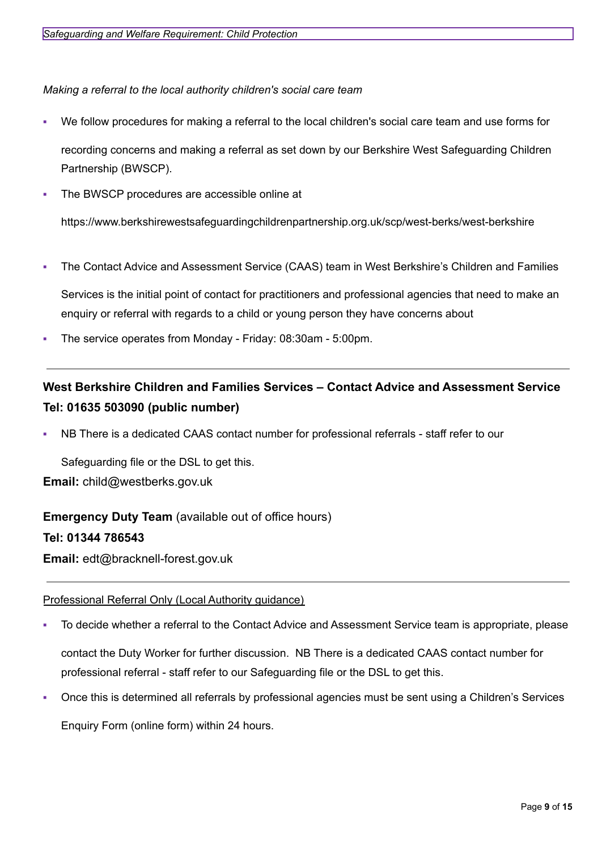<span id="page-8-0"></span>*Making a referral to the local authority children's social care team*

- We follow procedures for making a referral to the local children's social care team and use forms for recording concerns and making a referral as set down by our Berkshire West Safeguarding Children Partnership (BWSCP).
- The BWSCP procedures are accessible online at

https://www.berkshirewestsafeguardingchildrenpartnership.org.uk/scp/west-berks/west-berkshire

The Contact Advice and Assessment Service (CAAS) team in West Berkshire's Children and Families Services is the initial point of contact for practitioners and professional agencies that need to make an

enquiry or referral with regards to a child or young person they have concerns about

The service operates from Monday - Friday: 08:30am - 5:00pm.

# **West Berkshire Children and Families Services – Contact Advice and Assessment Service Tel: 01635 503090 (public number)**

NB There is a dedicated CAAS contact number for professional referrals - staff refer to our

Safeguarding file or the DSL to get this. **Email:** [child@westberks.gov.uk](mailto:child@westberks.gov.uk)

**Emergency Duty Team** (available out of office hours)

# **Tel: 01344 786543**

**Email:** [edt@bracknell-forest.gov.uk](mailto:edt@bracknell-forest.gov.uk)

# Professional Referral Only (Local Authority guidance)

To decide whether a referral to the Contact Advice and Assessment Service team is appropriate, please

contact the Duty Worker for further discussion. NB There is a dedicated CAAS contact number for professional referral - staff refer to our Safeguarding file or the DSL to get this.

Once this is determined all referrals by professional agencies must be sent using a Children's Services

Enquiry Form (online form) within 24 hours.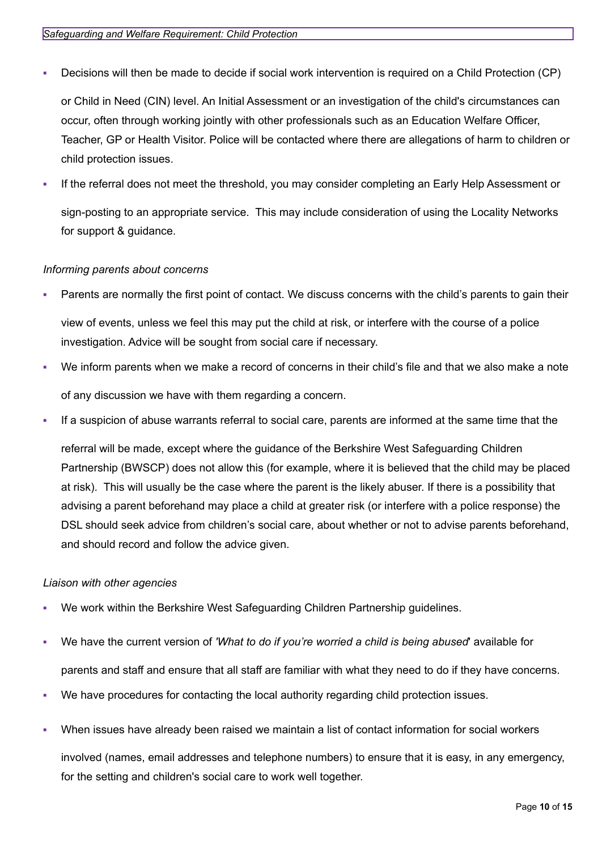- Decisions will then be made to decide if social work intervention is required on a Child Protection (CP) or Child in Need (CIN) level. An Initial Assessment or an investigation of the child's circumstances can occur, often through working jointly with other professionals such as an Education Welfare Officer, Teacher, GP or Health Visitor. Police will be contacted where there are allegations of harm to children or child protection issues.
- If the referral does not meet the threshold, you may consider completing an Early Help Assessment or sign-posting to an appropriate service. This may include consideration of using the Locality Networks for support & guidance.

### *Informing parents about concerns*

Parents are normally the first point of contact. We discuss concerns with the child's parents to gain their

view of events, unless we feel this may put the child at risk, or interfere with the course of a police investigation. Advice will be sought from social care if necessary.

- We inform parents when we make a record of concerns in their child's file and that we also make a note of any discussion we have with them regarding a concern.
- If a suspicion of abuse warrants referral to social care, parents are informed at the same time that the

referral will be made, except where the guidance of the Berkshire West Safeguarding Children Partnership (BWSCP) does not allow this (for example, where it is believed that the child may be placed at risk). This will usually be the case where the parent is the likely abuser. If there is a possibility that advising a parent beforehand may place a child at greater risk (or interfere with a police response) the DSL should seek advice from children's social care, about whether or not to advise parents beforehand, and should record and follow the advice given.

### *Liaison with other agencies*

- We work within the Berkshire West Safeguarding Children Partnership guidelines.
- We have the current version of *'What to do if you're worried a child is being abused*' available for parents and staff and ensure that all staff are familiar with what they need to do if they have concerns.
- We have procedures for contacting the local authority regarding child protection issues.
- When issues have already been raised we maintain a list of contact information for social workers involved (names, email addresses and telephone numbers) to ensure that it is easy, in any emergency, for the setting and children's social care to work well together.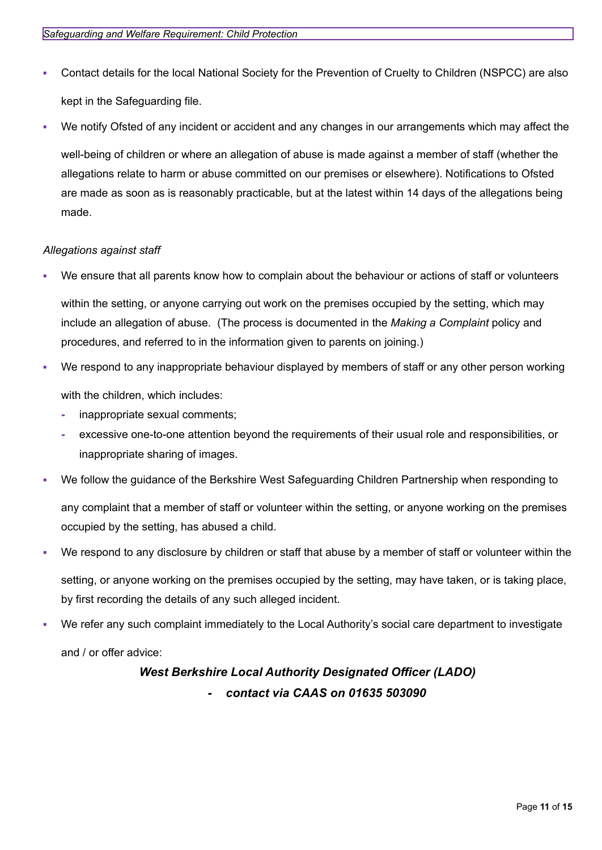- Contact details for the local National Society for the Prevention of Cruelty to Children (NSPCC) are also kept in the Safeguarding file.
- We notify Ofsted of any incident or accident and any changes in our arrangements which may affect the

well-being of children or where an allegation of abuse is made against a member of staff (whether the allegations relate to harm or abuse committed on our premises or elsewhere). Notifications to Ofsted are made as soon as is reasonably practicable, but at the latest within 14 days of the allegations being made.

### *Allegations against staff*

We ensure that all parents know how to complain about the behaviour or actions of staff or volunteers

within the setting, or anyone carrying out work on the premises occupied by the setting, which may include an allegation of abuse. (The process is documented in the *Making a Complaint* policy and procedures, and referred to in the information given to parents on joining.)

- We respond to any inappropriate behaviour displayed by members of staff or any other person working with the children, which includes:
	- **-** inappropriate sexual comments;
	- **-** excessive one-to-one attention beyond the requirements of their usual role and responsibilities, or inappropriate sharing of images.
- We follow the guidance of the Berkshire West Safeguarding Children Partnership when responding to

any complaint that a member of staff or volunteer within the setting, or anyone working on the premises occupied by the setting, has abused a child.

We respond to any disclosure by children or staff that abuse by a member of staff or volunteer within the

setting, or anyone working on the premises occupied by the setting, may have taken, or is taking place, by first recording the details of any such alleged incident.

We refer any such complaint immediately to the Local Authority's social care department to investigate and / or offer advice:

# *West Berkshire Local Authority Designated Officer (LADO) - contact via CAAS on 01635 503090*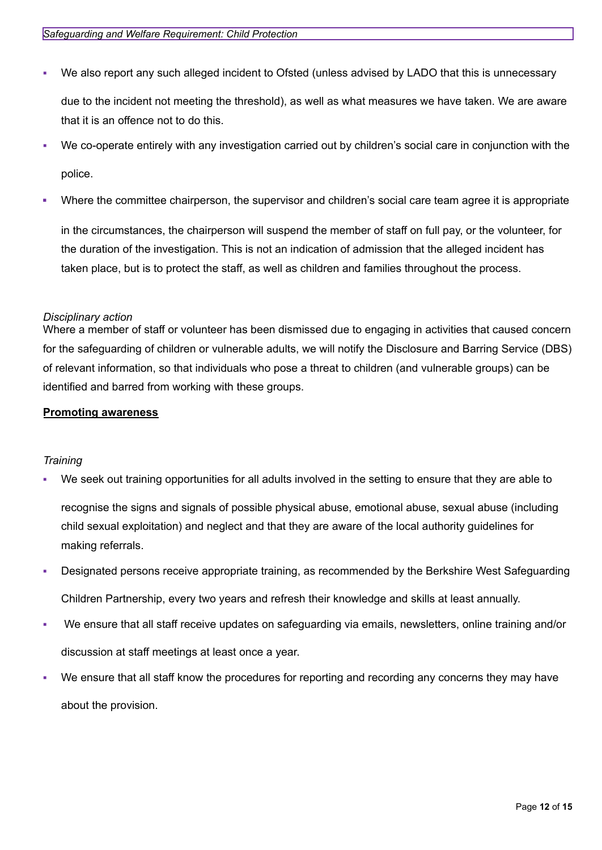- We also report any such alleged incident to Ofsted (unless advised by LADO that this is unnecessary due to the incident not meeting the threshold), as well as what measures we have taken. We are aware that it is an offence not to do this.
- We co-operate entirely with any investigation carried out by children's social care in conjunction with the police.
- Where the committee chairperson, the supervisor and children's social care team agree it is appropriate

in the circumstances, the chairperson will suspend the member of staff on full pay, or the volunteer, for the duration of the investigation. This is not an indication of admission that the alleged incident has taken place, but is to protect the staff, as well as children and families throughout the process.

#### <span id="page-11-0"></span>*Disciplinary action*

Where a member of staff or volunteer has been dismissed due to engaging in activities that caused concern for the safeguarding of children or vulnerable adults, we will notify the Disclosure and Barring Service (DBS) of relevant information, so that individuals who pose a threat to children (and vulnerable groups) can be identified and barred from working with these groups.

#### <span id="page-11-1"></span>**Promoting awareness**

### <span id="page-11-2"></span>*Training*

We seek out training opportunities for all adults involved in the setting to ensure that they are able to

recognise the signs and signals of possible physical abuse, emotional abuse, sexual abuse (including child sexual exploitation) and neglect and that they are aware of the local authority guidelines for making referrals.

- Designated persons receive appropriate training, as recommended by the Berkshire West Safeguarding Children Partnership, every two years and refresh their knowledge and skills at least annually.
- We ensure that all staff receive updates on safeguarding via emails, newsletters, online training and/or discussion at staff meetings at least once a year.
- We ensure that all staff know the procedures for reporting and recording any concerns they may have about the provision.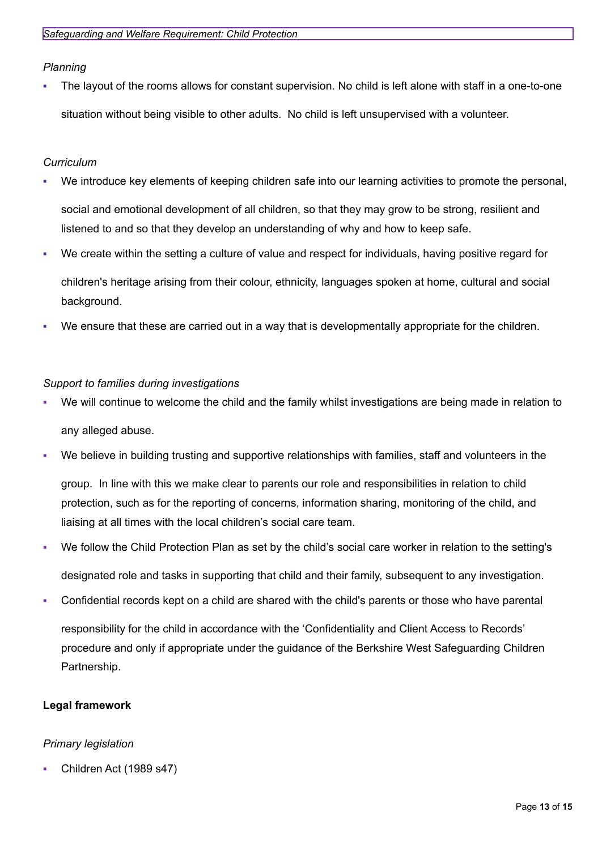<span id="page-12-0"></span>*Planning*

The layout of the rooms allows for constant supervision. No child is left alone with staff in a one-to-one situation without being visible to other adults. No child is left unsupervised with a volunteer.

# <span id="page-12-1"></span>*Curriculum*

- We introduce key elements of keeping children safe into our learning activities to promote the personal, social and emotional development of all children, so that they may grow to be strong, resilient and listened to and so that they develop an understanding of why and how to keep safe.
- We create within the setting a culture of value and respect for individuals, having positive regard for children's heritage arising from their colour, ethnicity, languages spoken at home, cultural and social background.
- We ensure that these are carried out in a way that is developmentally appropriate for the children.

### <span id="page-12-2"></span>*Support to families during investigations*

- We will continue to welcome the child and the family whilst investigations are being made in relation to any alleged abuse.
- We believe in building trusting and supportive relationships with families, staff and volunteers in the

group. In line with this we make clear to parents our role and responsibilities in relation to child protection, such as for the reporting of concerns, information sharing, monitoring of the child, and liaising at all times with the local children's social care team.

- We follow the Child Protection Plan as set by the child's social care worker in relation to the setting's designated role and tasks in supporting that child and their family, subsequent to any investigation.
- Confidential records kept on a child are shared with the child's parents or those who have parental responsibility for the child in accordance with the 'Confidentiality and Client Access to Records' procedure and only if appropriate under the guidance of the Berkshire West Safeguarding Children Partnership.

# **Legal framework**

# *Primary legislation*

Children Act (1989 s47)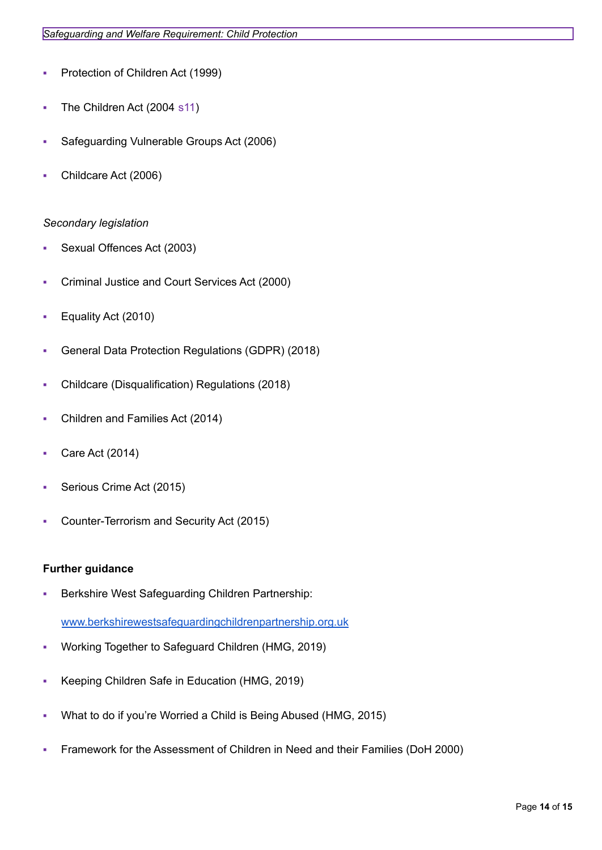- Protection of Children Act (1999)
- **The Children Act (2004 s11)**
- Safeguarding Vulnerable Groups Act (2006)
- Childcare Act (2006)

#### *Secondary legislation*

- Sexual Offences Act (2003)
- Criminal Justice and Court Services Act (2000)
- Equality Act (2010)
- General Data Protection Regulations (GDPR) (2018)
- Childcare (Disqualification) Regulations (2018)
- Children and Families Act (2014)
- Care Act (2014)
- Serious Crime Act (2015)
- Counter-Terrorism and Security Act (2015)

#### **Further guidance**

Berkshire West Safeguarding Children Partnership:

[www.berkshirewestsafeguardingchildrenpartnership.org.uk](http://www.berkshirewestsafeguardingchildrenpartnership.org.uk)

- Working Together to Safeguard Children (HMG, 2019)
- Keeping Children Safe in Education (HMG, 2019)
- What to do if you're Worried a Child is Being Abused (HMG, 2015)
- Framework for the Assessment of Children in Need and their Families (DoH 2000)